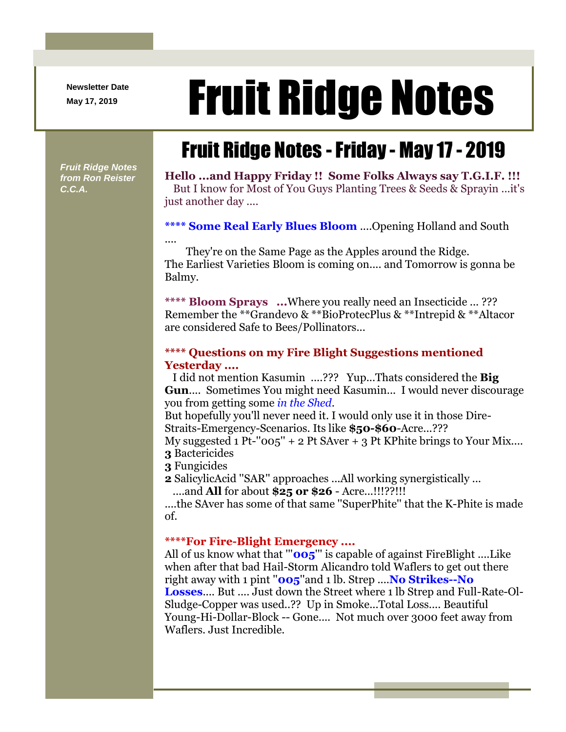**Newsletter Date**

# Newsletter Date **Fruit Ridge Notes**

## Fruit Ridge Notes -Friday - May 17 - 2019

*Fruit Ridge Notes from Ron Reister C.C.A.*

**Hello ...and Happy Friday !! Some Folks Always say T.G.I.F. !!!** But I know for Most of You Guys Planting Trees & Seeds & Sprayin ...it's just another day ....

### **\*\*\*\* Some Real Early Blues Bloom** ....Opening Holland and South

They're on the Same Page as the Apples around the Ridge. The Earliest Varieties Bloom is coming on.... and Tomorrow is gonna be Balmy.

**\*\*\*\* Bloom Sprays ...**Where you really need an Insecticide ... ??? Remember the \*\*Grandevo & \*\*BioProtecPlus & \*\*Intrepid & \*\*Altacor are considered Safe to Bees/Pollinators...

#### **\*\*\*\* Questions on my Fire Blight Suggestions mentioned Yesterday ....**

I did not mention Kasumin ....??? Yup...Thats considered the **Big Gun**.... Sometimes You might need Kasumin... I would never discourage you from getting some *in the Shed*.

But hopefully you'll never need it. I would only use it in those Dire-Straits-Emergency-Scenarios. Its like **\$50-\$60**-Acre...???

My suggested 1 Pt- $"005" + 2$  Pt SAver  $+ 3$  Pt KPhite brings to Your Mix.... **3** Bactericides

**3** Fungicides

....

**2** SalicylicAcid ''SAR'' approaches ...All working synergistically ...

....and **All** for about **\$25 or \$26** - Acre...!!!??!!!

....the SAver has some of that same ''SuperPhite'' that the K-Phite is made of.

#### **\*\*\*\*For Fire-Blight Emergency ....**

All of us know what that '''**005**''' is capable of against FireBlight ....Like when after that bad Hail-Storm Alicandro told Waflers to get out there right away with 1 pint ''**005**''and 1 lb. Strep ....**No Strikes--No Losses**.... But .... Just down the Street where 1 lb Strep and Full-Rate-Ol-Sludge-Copper was used..?? Up in Smoke...Total Loss.... Beautiful Young-Hi-Dollar-Block -- Gone.... Not much over 3000 feet away from Waflers. Just Incredible.